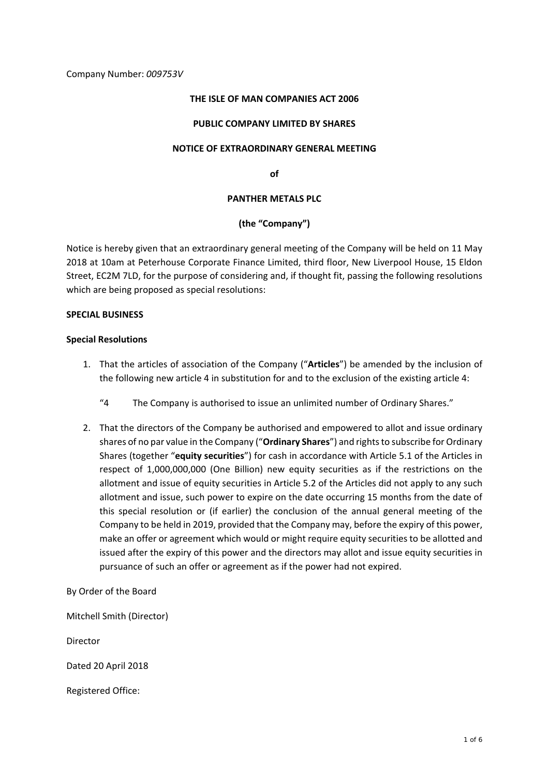## Company Number: *009753V*

#### **THE ISLE OF MAN COMPANIES ACT 2006**

#### **PUBLIC COMPANY LIMITED BY SHARES**

## **NOTICE OF EXTRAORDINARY GENERAL MEETING**

**of**

#### **PANTHER METALS PLC**

## **(the "Company")**

Notice is hereby given that an extraordinary general meeting of the Company will be held on 11 May 2018 at 10am at Peterhouse Corporate Finance Limited, third floor, New Liverpool House, 15 Eldon Street, EC2M 7LD, for the purpose of considering and, if thought fit, passing the following resolutions which are being proposed as special resolutions:

## **SPECIAL BUSINESS**

#### **Special Resolutions**

- 1. That the articles of association of the Company ("**Articles**") be amended by the inclusion of the following new article 4 in substitution for and to the exclusion of the existing article 4:
	- "4 The Company is authorised to issue an unlimited number of Ordinary Shares."
- 2. That the directors of the Company be authorised and empowered to allot and issue ordinary shares of no par value in the Company ("**Ordinary Shares**") and rights to subscribe for Ordinary Shares (together "**equity securities**") for cash in accordance with Article 5.1 of the Articles in respect of 1,000,000,000 (One Billion) new equity securities as if the restrictions on the allotment and issue of equity securities in Article 5.2 of the Articles did not apply to any such allotment and issue, such power to expire on the date occurring 15 months from the date of this special resolution or (if earlier) the conclusion of the annual general meeting of the Company to be held in 2019, provided that the Company may, before the expiry of this power, make an offer or agreement which would or might require equity securities to be allotted and issued after the expiry of this power and the directors may allot and issue equity securities in pursuance of such an offer or agreement as if the power had not expired.

By Order of the Board

Mitchell Smith (Director)

Director

Dated 20 April 2018

Registered Office: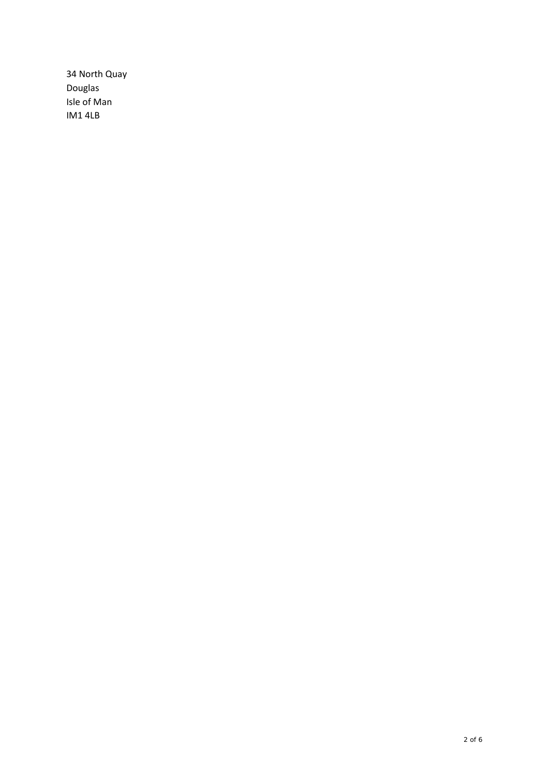34 North Quay Douglas Isle of Man IM14LB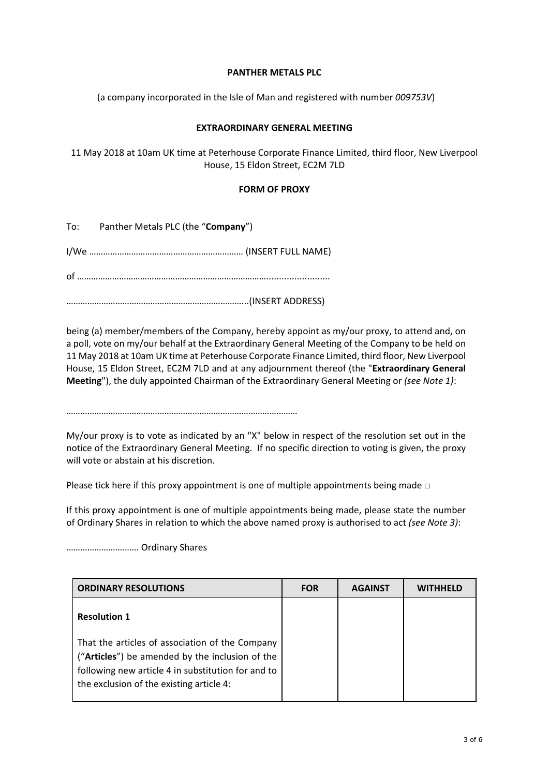## **PANTHER METALS PLC**

(a company incorporated in the Isle of Man and registered with number *009753V*)

# **EXTRAORDINARY GENERAL MEETING**

11 May 2018 at 10am UK time at Peterhouse Corporate Finance Limited, third floor, New Liverpool House, 15 Eldon Street, EC2M 7LD

## **FORM OF PROXY**

To: Panther Metals PLC (the "**Company**")

I/We ………………………………………………………… (INSERT FULL NAME)

of ……………………………………………………………………….........................

…………………………………………………………………...(INSERT ADDRESS)

being (a) member/members of the Company, hereby appoint as my/our proxy, to attend and, on a poll, vote on my/our behalf at the Extraordinary General Meeting of the Company to be held on 11 May 2018 at 10am UK time at Peterhouse Corporate Finance Limited, third floor, New Liverpool House, 15 Eldon Street, EC2M 7LD and at any adjournment thereof (the "**Extraordinary General Meeting**"), the duly appointed Chairman of the Extraordinary General Meeting or *(see Note 1)*:

………………………………………………………………………………………

My/our proxy is to vote as indicated by an "X" below in respect of the resolution set out in the notice of the Extraordinary General Meeting. If no specific direction to voting is given, the proxy will vote or abstain at his discretion.

Please tick here if this proxy appointment is one of multiple appointments being made  $□$ 

If this proxy appointment is one of multiple appointments being made, please state the number of Ordinary Shares in relation to which the above named proxy is authorised to act *(see Note 3)*:

…………………………. Ordinary Shares

| <b>ORDINARY RESOLUTIONS</b>                                                                                                                                                                          | <b>FOR</b> | <b>AGAINST</b> | <b>WITHHELD</b> |
|------------------------------------------------------------------------------------------------------------------------------------------------------------------------------------------------------|------------|----------------|-----------------|
| <b>Resolution 1</b>                                                                                                                                                                                  |            |                |                 |
| That the articles of association of the Company<br>("Articles") be amended by the inclusion of the<br>following new article 4 in substitution for and to<br>the exclusion of the existing article 4: |            |                |                 |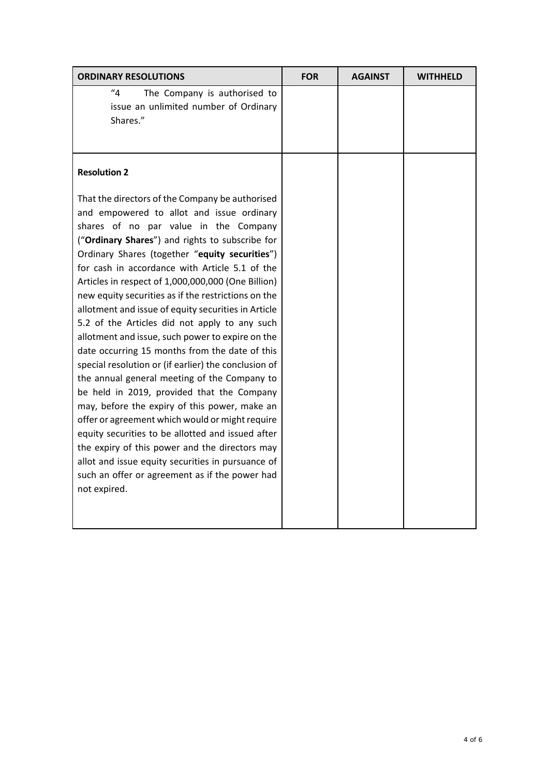| <b>ORDINARY RESOLUTIONS</b>                                                                                                                                                                                                                                                                                                                                                                                                                                                                                                                                                                                                                                                                                                                                                                                                                                                                                                                                                                                                                                                                                     | <b>FOR</b> | <b>AGAINST</b> | <b>WITHHELD</b> |
|-----------------------------------------------------------------------------------------------------------------------------------------------------------------------------------------------------------------------------------------------------------------------------------------------------------------------------------------------------------------------------------------------------------------------------------------------------------------------------------------------------------------------------------------------------------------------------------------------------------------------------------------------------------------------------------------------------------------------------------------------------------------------------------------------------------------------------------------------------------------------------------------------------------------------------------------------------------------------------------------------------------------------------------------------------------------------------------------------------------------|------------|----------------|-----------------|
| "4"<br>The Company is authorised to<br>issue an unlimited number of Ordinary<br>Shares."                                                                                                                                                                                                                                                                                                                                                                                                                                                                                                                                                                                                                                                                                                                                                                                                                                                                                                                                                                                                                        |            |                |                 |
| <b>Resolution 2</b>                                                                                                                                                                                                                                                                                                                                                                                                                                                                                                                                                                                                                                                                                                                                                                                                                                                                                                                                                                                                                                                                                             |            |                |                 |
| That the directors of the Company be authorised<br>and empowered to allot and issue ordinary<br>shares of no par value in the Company<br>("Ordinary Shares") and rights to subscribe for<br>Ordinary Shares (together "equity securities")<br>for cash in accordance with Article 5.1 of the<br>Articles in respect of 1,000,000,000 (One Billion)<br>new equity securities as if the restrictions on the<br>allotment and issue of equity securities in Article<br>5.2 of the Articles did not apply to any such<br>allotment and issue, such power to expire on the<br>date occurring 15 months from the date of this<br>special resolution or (if earlier) the conclusion of<br>the annual general meeting of the Company to<br>be held in 2019, provided that the Company<br>may, before the expiry of this power, make an<br>offer or agreement which would or might require<br>equity securities to be allotted and issued after<br>the expiry of this power and the directors may<br>allot and issue equity securities in pursuance of<br>such an offer or agreement as if the power had<br>not expired. |            |                |                 |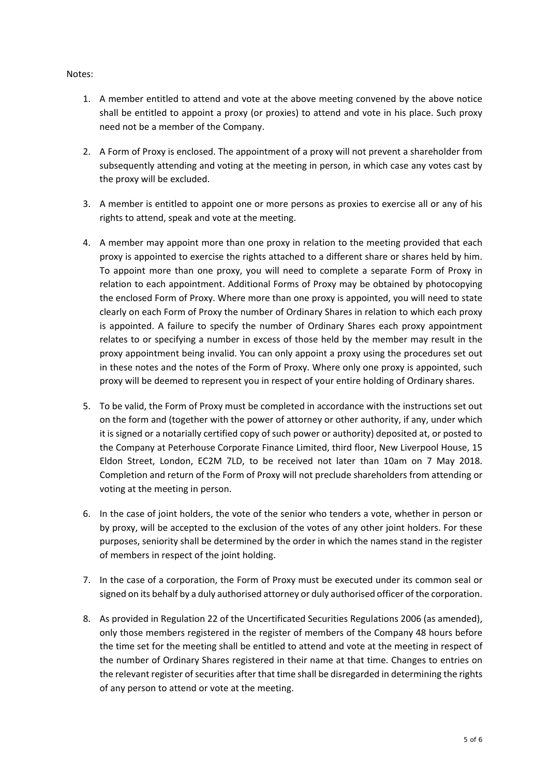# Notes:

- 1. A member entitled to attend and vote at the above meeting convened by the above notice shall be entitled to appoint a proxy (or proxies) to attend and vote in his place. Such proxy need not be a member of the Company.
- 2. A Form of Proxy is enclosed. The appointment of a proxy will not prevent a shareholder from subsequently attending and voting at the meeting in person, in which case any votes cast by the proxy will be excluded.
- 3. A member is entitled to appoint one or more persons as proxies to exercise all or any of his rights to attend, speak and vote at the meeting.
- 4. A member may appoint more than one proxy in relation to the meeting provided that each proxy is appointed to exercise the rights attached to a different share or shares held by him. To appoint more than one proxy, you will need to complete a separate Form of Proxy in relation to each appointment. Additional Forms of Proxy may be obtained by photocopying the enclosed Form of Proxy. Where more than one proxy is appointed, you will need to state clearly on each Form of Proxy the number of Ordinary Shares in relation to which each proxy is appointed. A failure to specify the number of Ordinary Shares each proxy appointment relates to or specifying a number in excess of those held by the member may result in the proxy appointment being invalid. You can only appoint a proxy using the procedures set out in these notes and the notes of the Form of Proxy. Where only one proxy is appointed, such proxy will be deemed to represent you in respect of your entire holding of Ordinary shares.
- 5. To be valid, the Form of Proxy must be completed in accordance with the instructions set out on the form and (together with the power of attorney or other authority, if any, under which it is signed or a notarially certified copy of such power or authority) deposited at, or posted to the Company at Peterhouse Corporate Finance Limited, third floor, New Liverpool House, 15 Eldon Street, London, EC2M 7LD, to be received not later than 10am on 7 May 2018. Completion and return of the Form of Proxy will not preclude shareholders from attending or voting at the meeting in person.
- 6. In the case of joint holders, the vote of the senior who tenders a vote, whether in person or by proxy, will be accepted to the exclusion of the votes of any other joint holders. For these purposes, seniority shall be determined by the order in which the names stand in the register of members in respect of the joint holding.
- 7. In the case of a corporation, the Form of Proxy must be executed under its common seal or signed on its behalf by a duly authorised attorney or duly authorised officer of the corporation.
- 8. As provided in Regulation 22 of the Uncertificated Securities Regulations 2006 (as amended), only those members registered in the register of members of the Company 48 hours before the time set for the meeting shall be entitled to attend and vote at the meeting in respect of the number of Ordinary Shares registered in their name at that time. Changes to entries on the relevant register of securities after that time shall be disregarded in determining the rights of any person to attend or vote at the meeting.